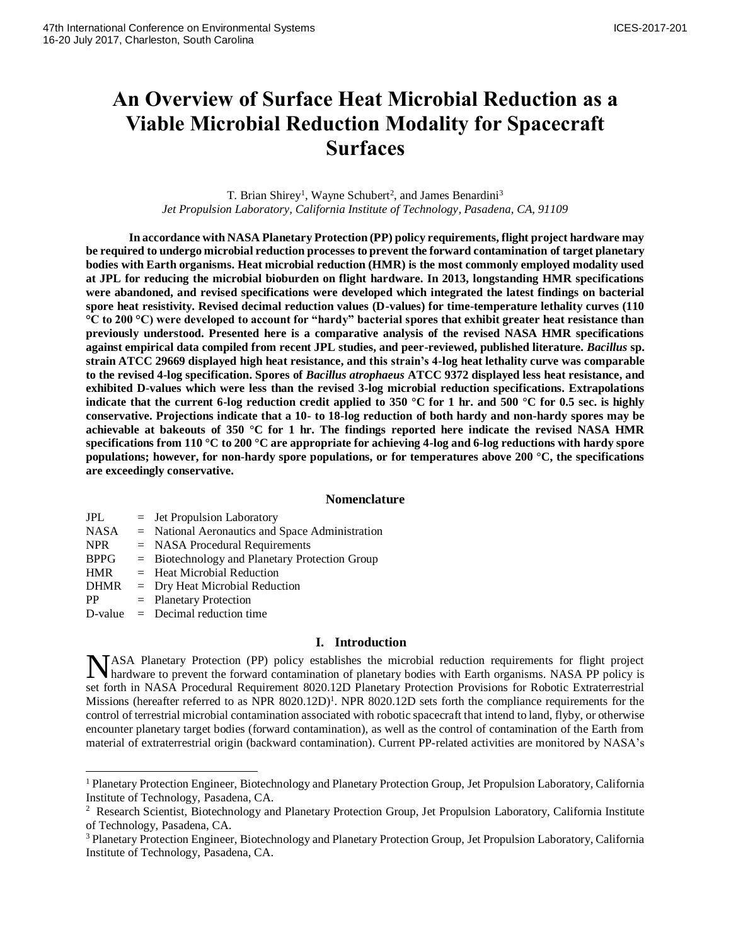# **An Overview of Surface Heat Microbial Reduction as a Viable Microbial Reduction Modality for Spacecraft Surfaces**

T. Brian Shirey<sup>1</sup>, Wayne Schubert<sup>2</sup>, and James Benardini<sup>3</sup> *Jet Propulsion Laboratory, California Institute of Technology, Pasadena, CA, 91109*

**In accordance with NASA Planetary Protection (PP) policy requirements, flight project hardware may be required to undergo microbial reduction processes to prevent the forward contamination of target planetary bodies with Earth organisms. Heat microbial reduction (HMR) is the most commonly employed modality used at JPL for reducing the microbial bioburden on flight hardware. In 2013, longstanding HMR specifications were abandoned, and revised specifications were developed which integrated the latest findings on bacterial spore heat resistivity. Revised decimal reduction values (D-values) for time-temperature lethality curves (110 °C to 200 °C) were developed to account for "hardy" bacterial spores that exhibit greater heat resistance than previously understood. Presented here is a comparative analysis of the revised NASA HMR specifications against empirical data compiled from recent JPL studies, and peer-reviewed, published literature.** *Bacillus* **sp. strain ATCC 29669 displayed high heat resistance, and this strain's 4-log heat lethality curve was comparable to the revised 4-log specification. Spores of** *Bacillus atrophaeus* **ATCC 9372 displayed less heat resistance, and exhibited D-values which were less than the revised 3-log microbial reduction specifications. Extrapolations indicate that the current 6-log reduction credit applied to 350 °C for 1 hr. and 500 °C for 0.5 sec. is highly conservative. Projections indicate that a 10- to 18-log reduction of both hardy and non-hardy spores may be achievable at bakeouts of 350 °C for 1 hr. The findings reported here indicate the revised NASA HMR specifications from 110 °C to 200 °C are appropriate for achieving 4-log and 6-log reductions with hardy spore populations; however, for non-hardy spore populations, or for temperatures above 200 °C, the specifications are exceedingly conservative.**

#### **Nomenclature**

| <b>JPL</b>  | $=$ Jet Propulsion Laboratory                     |
|-------------|---------------------------------------------------|
| <b>NASA</b> | $=$ National Aeronautics and Space Administration |
| <b>NPR</b>  | $=$ NASA Procedural Requirements                  |
| <b>BPPG</b> | $=$ Biotechnology and Planetary Protection Group  |
| <b>HMR</b>  | $=$ Heat Microbial Reduction                      |
| <b>DHMR</b> | $=$ Dry Heat Microbial Reduction                  |
| <b>PP</b>   | $=$ Planetary Protection                          |
|             | $D-value = Decimal reduction time$                |
|             |                                                   |

l

# **I. Introduction**

NASA Planetary Protection (PP) policy establishes the microbial reduction requirements for flight project hardware to prevent the forward contamination of planetary bodies with Earth organisms. NASA PP policy is hardware to prevent the forward contamination of planetary bodies with Earth organisms. NASA PP policy is set forth in NASA Procedural Requirement 8020.12D Planetary Protection Provisions for Robotic Extraterrestrial Missions (hereafter referred to as NPR  $8020.12D$ )<sup>1</sup>. NPR  $8020.12D$  sets forth the compliance requirements for the control of terrestrial microbial contamination associated with robotic spacecraft that intend to land, flyby, or otherwise encounter planetary target bodies (forward contamination), as well as the control of contamination of the Earth from material of extraterrestrial origin (backward contamination). Current PP-related activities are monitored by NASA's

<sup>1</sup>Planetary Protection Engineer, Biotechnology and Planetary Protection Group, Jet Propulsion Laboratory, California Institute of Technology, Pasadena, CA.

<sup>&</sup>lt;sup>2</sup> Research Scientist, Biotechnology and Planetary Protection Group, Jet Propulsion Laboratory, California Institute of Technology, Pasadena, CA.

<sup>&</sup>lt;sup>3</sup> Planetary Protection Engineer, Biotechnology and Planetary Protection Group, Jet Propulsion Laboratory, California Institute of Technology, Pasadena, CA.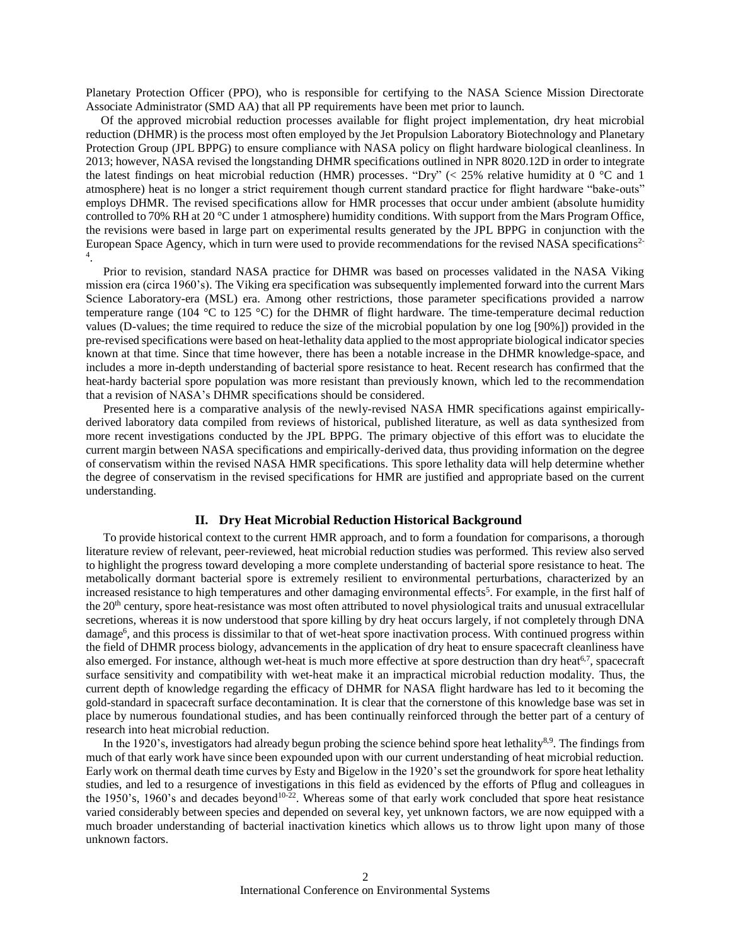Planetary Protection Officer (PPO), who is responsible for certifying to the NASA Science Mission Directorate Associate Administrator (SMD AA) that all PP requirements have been met prior to launch.

 Of the approved microbial reduction processes available for flight project implementation, dry heat microbial reduction (DHMR) is the process most often employed by the Jet Propulsion Laboratory Biotechnology and Planetary Protection Group (JPL BPPG) to ensure compliance with NASA policy on flight hardware biological cleanliness. In 2013; however, NASA revised the longstanding DHMR specifications outlined in NPR 8020.12D in order to integrate the latest findings on heat microbial reduction (HMR) processes. "Dry" ( $<$  25% relative humidity at 0 °C and 1 atmosphere) heat is no longer a strict requirement though current standard practice for flight hardware "bake-outs" employs DHMR. The revised specifications allow for HMR processes that occur under ambient (absolute humidity controlled to 70% RH at 20 °C under 1 atmosphere) humidity conditions. With support from the Mars Program Office, the revisions were based in large part on experimental results generated by the JPL BPPG in conjunction with the European Space Agency, which in turn were used to provide recommendations for the revised NASA specifications<sup>2-</sup> 4 .

Prior to revision, standard NASA practice for DHMR was based on processes validated in the NASA Viking mission era (circa 1960's). The Viking era specification was subsequently implemented forward into the current Mars Science Laboratory-era (MSL) era. Among other restrictions, those parameter specifications provided a narrow temperature range (104 °C to 125 °C) for the DHMR of flight hardware. The time-temperature decimal reduction values (D-values; the time required to reduce the size of the microbial population by one log [90%]) provided in the pre-revised specifications were based on heat-lethality data applied to the most appropriate biological indicator species known at that time. Since that time however, there has been a notable increase in the DHMR knowledge-space, and includes a more in-depth understanding of bacterial spore resistance to heat. Recent research has confirmed that the heat-hardy bacterial spore population was more resistant than previously known, which led to the recommendation that a revision of NASA's DHMR specifications should be considered.

Presented here is a comparative analysis of the newly-revised NASA HMR specifications against empiricallyderived laboratory data compiled from reviews of historical, published literature, as well as data synthesized from more recent investigations conducted by the JPL BPPG. The primary objective of this effort was to elucidate the current margin between NASA specifications and empirically-derived data, thus providing information on the degree of conservatism within the revised NASA HMR specifications. This spore lethality data will help determine whether the degree of conservatism in the revised specifications for HMR are justified and appropriate based on the current understanding.

## **II. Dry Heat Microbial Reduction Historical Background**

To provide historical context to the current HMR approach, and to form a foundation for comparisons, a thorough literature review of relevant, peer-reviewed, heat microbial reduction studies was performed. This review also served to highlight the progress toward developing a more complete understanding of bacterial spore resistance to heat. The metabolically dormant bacterial spore is extremely resilient to environmental perturbations, characterized by an increased resistance to high temperatures and other damaging environmental effects<sup>5</sup>. For example, in the first half of the 20<sup>th</sup> century, spore heat-resistance was most often attributed to novel physiological traits and unusual extracellular secretions, whereas it is now understood that spore killing by dry heat occurs largely, if not completely through DNA damage<sup>6</sup>, and this process is dissimilar to that of wet-heat spore inactivation process. With continued progress within the field of DHMR process biology, advancements in the application of dry heat to ensure spacecraft cleanliness have also emerged. For instance, although wet-heat is much more effective at spore destruction than dry heat<sup>6,7</sup>, spacecraft surface sensitivity and compatibility with wet-heat make it an impractical microbial reduction modality. Thus, the current depth of knowledge regarding the efficacy of DHMR for NASA flight hardware has led to it becoming the gold-standard in spacecraft surface decontamination. It is clear that the cornerstone of this knowledge base was set in place by numerous foundational studies, and has been continually reinforced through the better part of a century of research into heat microbial reduction.

In the 1920's, investigators had already begun probing the science behind spore heat lethality<sup>8,9</sup>. The findings from much of that early work have since been expounded upon with our current understanding of heat microbial reduction. Early work on thermal death time curves by Esty and Bigelow in the 1920's set the groundwork for spore heat lethality studies, and led to a resurgence of investigations in this field as evidenced by the efforts of Pflug and colleagues in the 1950's, 1960's and decades beyond<sup>10-22</sup>. Whereas some of that early work concluded that spore heat resistance varied considerably between species and depended on several key, yet unknown factors, we are now equipped with a much broader understanding of bacterial inactivation kinetics which allows us to throw light upon many of those unknown factors.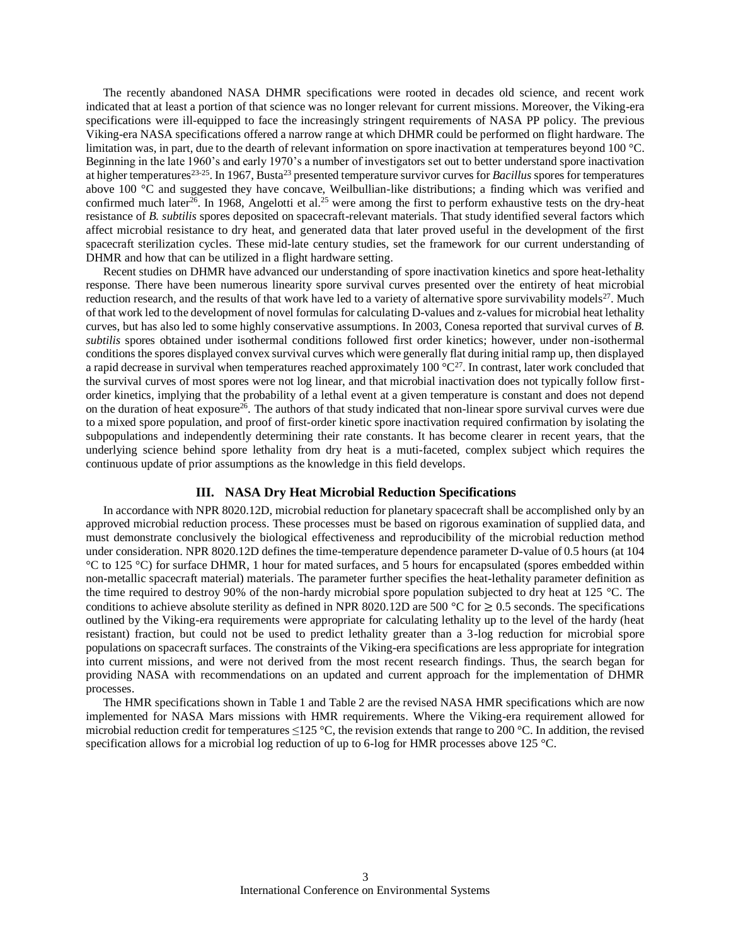The recently abandoned NASA DHMR specifications were rooted in decades old science, and recent work indicated that at least a portion of that science was no longer relevant for current missions. Moreover, the Viking-era specifications were ill-equipped to face the increasingly stringent requirements of NASA PP policy. The previous Viking-era NASA specifications offered a narrow range at which DHMR could be performed on flight hardware. The limitation was, in part, due to the dearth of relevant information on spore inactivation at temperatures beyond 100 °C. Beginning in the late 1960's and early 1970's a number of investigators set out to better understand spore inactivation at higher temperatures<sup>23-25</sup>. In 1967, Busta<sup>23</sup> presented temperature survivor curves for *Bacillus* spores for temperatures above 100 °C and suggested they have concave, Weilbullian-like distributions; a finding which was verified and confirmed much later<sup>26</sup>. In 1968, Angelotti et al.<sup>25</sup> were among the first to perform exhaustive tests on the dry-heat resistance of *B. subtilis* spores deposited on spacecraft-relevant materials. That study identified several factors which affect microbial resistance to dry heat, and generated data that later proved useful in the development of the first spacecraft sterilization cycles. These mid-late century studies, set the framework for our current understanding of DHMR and how that can be utilized in a flight hardware setting.

Recent studies on DHMR have advanced our understanding of spore inactivation kinetics and spore heat-lethality response. There have been numerous linearity spore survival curves presented over the entirety of heat microbial reduction research, and the results of that work have led to a variety of alternative spore survivability models<sup>27</sup>. Much of that work led to the development of novel formulas for calculating D-values and z-values for microbial heat lethality curves, but has also led to some highly conservative assumptions. In 2003, Conesa reported that survival curves of *B. subtilis* spores obtained under isothermal conditions followed first order kinetics; however, under non-isothermal conditions the spores displayed convex survival curves which were generally flat during initial ramp up, then displayed a rapid decrease in survival when temperatures reached approximately  $100 °C^2$ . In contrast, later work concluded that the survival curves of most spores were not log linear, and that microbial inactivation does not typically follow firstorder kinetics, implying that the probability of a lethal event at a given temperature is constant and does not depend on the duration of heat exposure<sup>26</sup>. The authors of that study indicated that non-linear spore survival curves were due to a mixed spore population, and proof of first-order kinetic spore inactivation required confirmation by isolating the subpopulations and independently determining their rate constants. It has become clearer in recent years, that the underlying science behind spore lethality from dry heat is a muti-faceted, complex subject which requires the continuous update of prior assumptions as the knowledge in this field develops.

# **III. NASA Dry Heat Microbial Reduction Specifications**

In accordance with NPR 8020.12D, microbial reduction for planetary spacecraft shall be accomplished only by an approved microbial reduction process. These processes must be based on rigorous examination of supplied data, and must demonstrate conclusively the biological effectiveness and reproducibility of the microbial reduction method under consideration. NPR 8020.12D defines the time-temperature dependence parameter D-value of 0.5 hours (at 104 °C to 125 °C) for surface DHMR, 1 hour for mated surfaces, and 5 hours for encapsulated (spores embedded within non-metallic spacecraft material) materials. The parameter further specifies the heat-lethality parameter definition as the time required to destroy 90% of the non-hardy microbial spore population subjected to dry heat at 125 °C. The conditions to achieve absolute sterility as defined in NPR 8020.12D are 500 °C for  $\geq$  0.5 seconds. The specifications outlined by the Viking-era requirements were appropriate for calculating lethality up to the level of the hardy (heat resistant) fraction, but could not be used to predict lethality greater than a 3-log reduction for microbial spore populations on spacecraft surfaces. The constraints of the Viking-era specifications are less appropriate for integration into current missions, and were not derived from the most recent research findings. Thus, the search began for providing NASA with recommendations on an updated and current approach for the implementation of DHMR processes.

The HMR specifications shown in Table 1 and Table 2 are the revised NASA HMR specifications which are now implemented for NASA Mars missions with HMR requirements. Where the Viking-era requirement allowed for microbial reduction credit for temperatures ≤125 °C, the revision extends that range to 200 °C. In addition, the revised specification allows for a microbial log reduction of up to 6-log for HMR processes above 125 °C.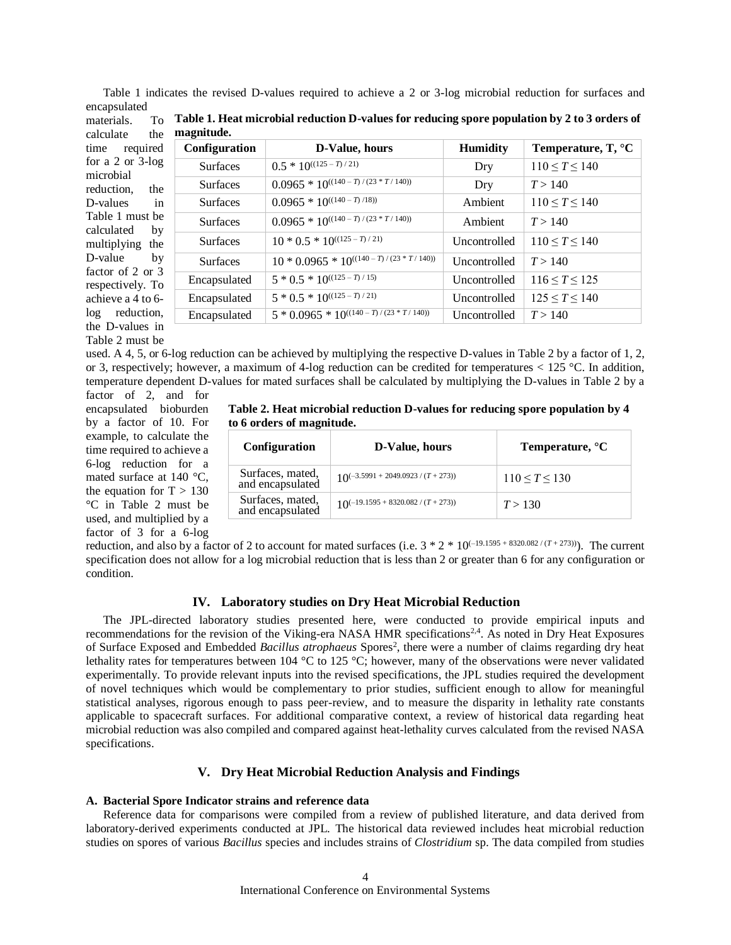Table 1 indicates the revised D-values required to achieve a 2 or 3-log microbial reduction for surfaces and encapsulated

| calculate<br>the                                                                                                                                                                                                                                                  | magnitude.      |                                               |                 |                                               |  |
|-------------------------------------------------------------------------------------------------------------------------------------------------------------------------------------------------------------------------------------------------------------------|-----------------|-----------------------------------------------|-----------------|-----------------------------------------------|--|
| required<br>time<br>for a $2$ or $3$ -log<br>microbial<br>reduction.<br>the<br>D-values<br>in<br>Table 1 must be<br>calculated<br>by<br>multiplying<br>the<br>D-value<br>by<br>factor of $2$ or $3$<br>respectively. To<br>achieve a 4 to 6-<br>reduction,<br>log | Configuration   | D-Value, hours                                | <b>Humidity</b> | <b>Temperature, T, <math>^{\circ}</math>C</b> |  |
|                                                                                                                                                                                                                                                                   | <b>Surfaces</b> | $0.5 * 10^{((125 - T)/21)}$                   | Dry             | $110 \le T \le 140$                           |  |
|                                                                                                                                                                                                                                                                   | <b>Surfaces</b> | $0.0965 * 10^{((140 - T)/(23 * T/140))}$      | Dry             | T > 140                                       |  |
|                                                                                                                                                                                                                                                                   | <b>Surfaces</b> | $0.0965 * 10^{((140 - T)/18)}$                | Ambient         | $110 \le T \le 140$                           |  |
|                                                                                                                                                                                                                                                                   | <b>Surfaces</b> | $0.0965 * 10^{((140 - T)/(23 * T/140))}$      | Ambient         | T > 140                                       |  |
|                                                                                                                                                                                                                                                                   | <b>Surfaces</b> | $10 * 0.5 * 10^{((125 - T)/21)}$              | Uncontrolled    | $110 \le T \le 140$                           |  |
|                                                                                                                                                                                                                                                                   | <b>Surfaces</b> | $10 * 0.0965 * 10^{((140 - T)/(23 * T/140))}$ | Uncontrolled    | T > 140                                       |  |
|                                                                                                                                                                                                                                                                   | Encapsulated    | $5 * 0.5 * 10^{((125 - T)/15)}$               | Uncontrolled    | $116 \le T \le 125$                           |  |
|                                                                                                                                                                                                                                                                   | Encapsulated    | $5 * 0.5 * 10^{((125 - T)/21)}$               | Uncontrolled    | $125 \le T \le 140$                           |  |
|                                                                                                                                                                                                                                                                   | Encapsulated    | $5 * 0.0965 * 10^{((140 - T)/(23 * T/140))}$  | Uncontrolled    | T > 140                                       |  |
| the D-values in                                                                                                                                                                                                                                                   |                 |                                               |                 |                                               |  |

materials. calculate th **Table 1. Heat microbial reduction D-values for reducing spore population by 2 to 3 orders of magnitude.**

used. A 4, 5, or 6-log reduction can be achieved by multiplying the respective D-values in Table 2 by a factor of 1, 2, or 3, respectively; however, a maximum of 4-log reduction can be credited for temperatures < 125 °C. In addition, temperature dependent D-values for mated surfaces shall be calculated by multiplying the D-values in Table 2 by a

factor of 2, and for encapsulated bioburden by a factor of 10. For example, to calculate the time required to achieve a 6-log reduction for a mated surface at 140 °C, the equation for  $T > 130$ °C in Table 2 must be used, and multiplied by a factor of 3 for a 6-log

Table 2 must be

|                           | Table 2. Heat microbial reduction D-values for reducing spore population by 4 |
|---------------------------|-------------------------------------------------------------------------------|
| to 6 orders of magnitude. |                                                                               |

| <b>Configuration</b>                 | D-Value, hours                           | Temperature, °C     |  |  |
|--------------------------------------|------------------------------------------|---------------------|--|--|
| Surfaces, mated,<br>and encapsulated | $10^{(-3.5991 + 2049.0923 / (T + 273))}$ | $110 \le T \le 130$ |  |  |
| Surfaces, mated,<br>and encapsulated | $10^{(-19.1595 + 8320.082 / (T + 273))}$ | T > 130             |  |  |

reduction, and also by a factor of 2 to account for mated surfaces (i.e.  $3 * 2 * 10^{(-19.1595 + 8320.082/(T + 273))}$ ). The current specification does not allow for a log microbial reduction that is less than 2 or greater than 6 for any configuration or condition.

# **IV. Laboratory studies on Dry Heat Microbial Reduction**

The JPL-directed laboratory studies presented here, were conducted to provide empirical inputs and recommendations for the revision of the Viking-era NASA HMR specifications<sup>2,4</sup>. As noted in Dry Heat Exposures of Surface Exposed and Embedded *Bacillus atrophaeus* Spores<sup>2</sup>, there were a number of claims regarding dry heat lethality rates for temperatures between 104 °C to 125 °C; however, many of the observations were never validated experimentally. To provide relevant inputs into the revised specifications, the JPL studies required the development of novel techniques which would be complementary to prior studies, sufficient enough to allow for meaningful statistical analyses, rigorous enough to pass peer-review, and to measure the disparity in lethality rate constants applicable to spacecraft surfaces. For additional comparative context, a review of historical data regarding heat microbial reduction was also compiled and compared against heat-lethality curves calculated from the revised NASA specifications.

## **V. Dry Heat Microbial Reduction Analysis and Findings**

#### **A. Bacterial Spore Indicator strains and reference data**

Reference data for comparisons were compiled from a review of published literature, and data derived from laboratory-derived experiments conducted at JPL. The historical data reviewed includes heat microbial reduction studies on spores of various *Bacillus* species and includes strains of *Clostridium* sp. The data compiled from studies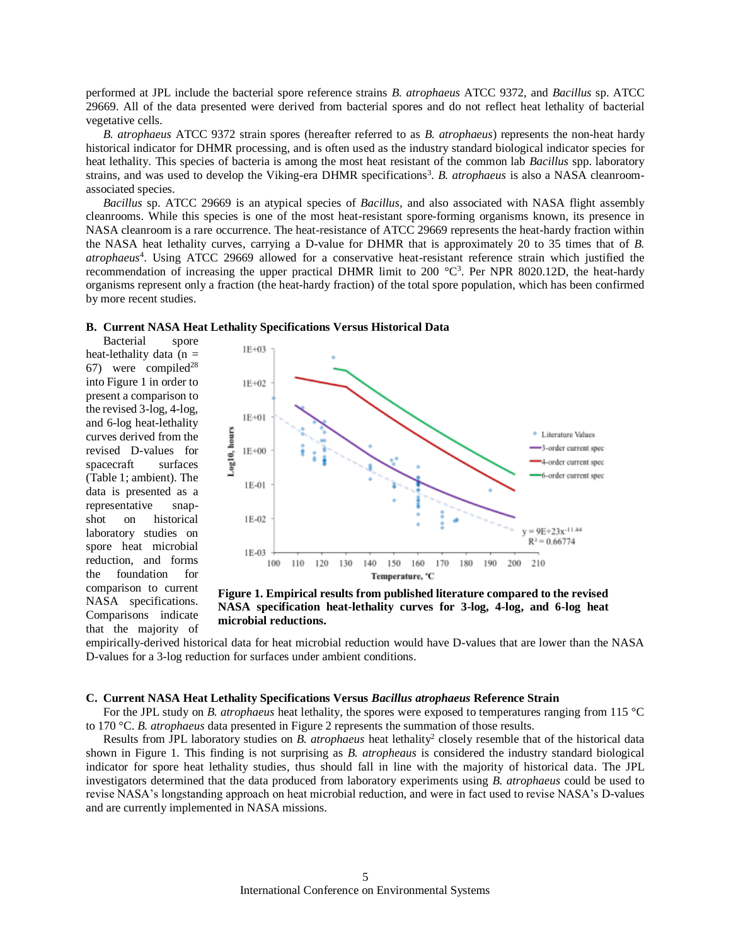performed at JPL include the bacterial spore reference strains *B. atrophaeus* ATCC 9372, and *Bacillus* sp. ATCC 29669. All of the data presented were derived from bacterial spores and do not reflect heat lethality of bacterial vegetative cells.

*B. atrophaeus* ATCC 9372 strain spores (hereafter referred to as *B. atrophaeus*) represents the non-heat hardy historical indicator for DHMR processing, and is often used as the industry standard biological indicator species for heat lethality. This species of bacteria is among the most heat resistant of the common lab *Bacillus* spp. laboratory strains, and was used to develop the Viking-era DHMR specifications<sup>3</sup>. B. atrophaeus is also a NASA cleanroomassociated species.

*Bacillus* sp. ATCC 29669 is an atypical species of *Bacillus,* and also associated with NASA flight assembly cleanrooms. While this species is one of the most heat-resistant spore-forming organisms known, its presence in NASA cleanroom is a rare occurrence. The heat-resistance of ATCC 29669 represents the heat-hardy fraction within the NASA heat lethality curves, carrying a D-value for DHMR that is approximately 20 to 35 times that of *B. atrophaeus*<sup>4</sup> . Using ATCC 29669 allowed for a conservative heat-resistant reference strain which justified the recommendation of increasing the upper practical DHMR limit to 200  $\degree$ C<sup>3</sup>. Per NPR 8020.12D, the heat-hardy organisms represent only a fraction (the heat-hardy fraction) of the total spore population, which has been confirmed by more recent studies.

## **B. Current NASA Heat Lethality Specifications Versus Historical Data**

Bacterial spore heat-lethality data ( $n =$ 67) were compiled<sup>28</sup> into Figure 1 in order to present a comparison to the revised 3-log, 4-log, and 6-log heat-lethality curves derived from the revised D-values for spacecraft surfaces (Table 1; ambient). The data is presented as a representative snapshot on historical laboratory studies on spore heat microbial reduction, and forms the foundation for comparison to current NASA specifications. Comparisons indicate that the majority of



**Figure 1. Empirical results from published literature compared to the revised NASA specification heat-lethality curves for 3-log, 4-log, and 6-log heat microbial reductions.**

empirically-derived historical data for heat microbial reduction would have D-values that are lower than the NASA D-values for a 3-log reduction for surfaces under ambient conditions.

#### **C. Current NASA Heat Lethality Specifications Versus** *Bacillus atrophaeus* **Reference Strain**

For the JPL study on *B. atrophaeus* heat lethality, the spores were exposed to temperatures ranging from 115 °C to 170 °C. *B. atrophaeus* data presented in Figure 2 represents the summation of those results.

Results from JPL laboratory studies on *B. atrophaeus* heat lethality<sup>2</sup> closely resemble that of the historical data shown in Figure 1. This finding is not surprising as *B. atropheaus* is considered the industry standard biological indicator for spore heat lethality studies, thus should fall in line with the majority of historical data. The JPL investigators determined that the data produced from laboratory experiments using *B. atrophaeus* could be used to revise NASA's longstanding approach on heat microbial reduction, and were in fact used to revise NASA's D-values and are currently implemented in NASA missions.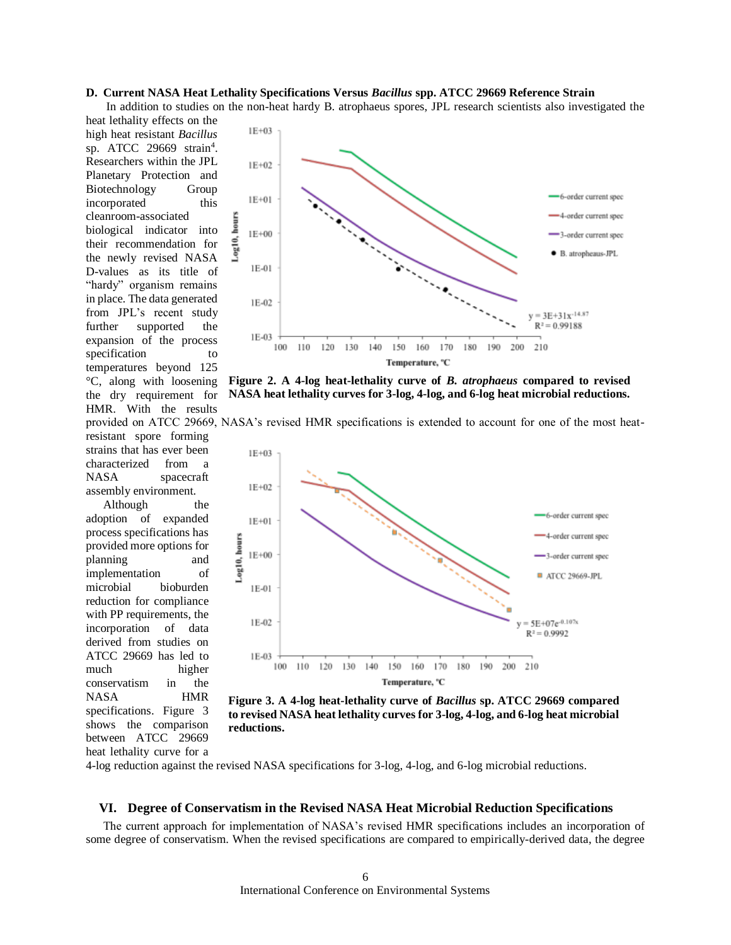## **D. Current NASA Heat Lethality Specifications Versus** *Bacillus* **spp. ATCC 29669 Reference Strain**

In addition to studies on the non-heat hardy B. atrophaeus spores, JPL research scientists also investigated the

heat lethality effects on the high heat resistant *Bacillus* sp. ATCC 29669 strain<sup>4</sup>. Researchers within the JPL Planetary Protection and Biotechnology Group incorporated this cleanroom-associated biological indicator into their recommendation for the newly revised NASA D-values as its title of "hardy" organism remains in place. The data generated from JPL's recent study further supported the expansion of the process specification to temperatures beyond 125 °C, along with loosening the dry requirement for HMR. With the results resistant spore forming strains that has ever been characterized from a NASA spacecraft

assembly environment. Although the adoption of expanded process specifications has provided more options for planning and implementation of microbial bioburden reduction for compliance with PP requirements, the incorporation of data derived from studies on ATCC 29669 has led to much higher conservatism in the NASA HMR specifications. Figure 3 shows the comparison between ATCC 29669 heat lethality curve for a



**Figure 2. A 4-log heat-lethality curve of** *B. atrophaeus* **compared to revised NASA heat lethality curves for 3-log, 4-log, and 6-log heat microbial reductions.**





**Figure 3. A 4-log heat-lethality curve of** *Bacillus* **sp. ATCC 29669 compared to revised NASA heat lethality curves for 3-log, 4-log, and 6-log heat microbial reductions.**

4-log reduction against the revised NASA specifications for 3-log, 4-log, and 6-log microbial reductions.

#### **VI. Degree of Conservatism in the Revised NASA Heat Microbial Reduction Specifications**

The current approach for implementation of NASA's revised HMR specifications includes an incorporation of some degree of conservatism. When the revised specifications are compared to empirically-derived data, the degree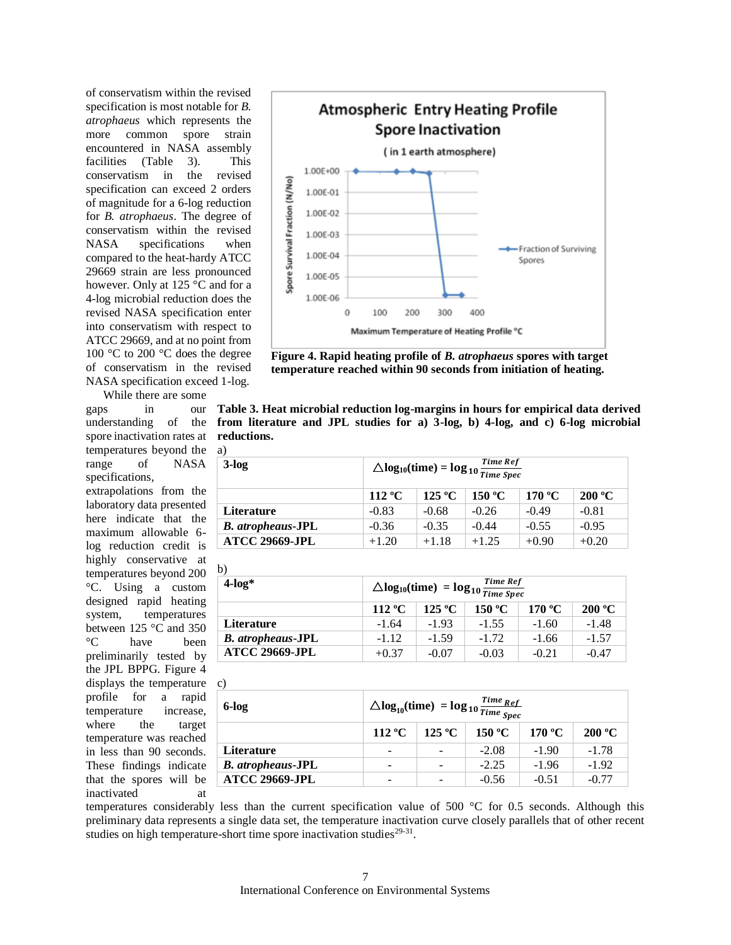of conservatism within the revised specification is most notable for *B. atrophaeus* which represents the more common spore strain encountered in NASA assembly facilities (Table 3). This conservatism in the revised specification can exceed 2 orders of magnitude for a 6-log reduction for *B. atrophaeus*. The degree of conservatism within the revised NASA specifications when compared to the heat-hardy ATCC 29669 strain are less pronounced however. Only at 125 °C and for a 4-log microbial reduction does the revised NASA specification enter into conservatism with respect to ATCC 29669, and at no point from 100 °C to 200 °C does the degree of conservatism in the revised NASA specification exceed 1-log.

While there are some gaps in our understanding of the spore inactivation rates at temperatures beyond the a) range of NASA specifications,

extrapolations from the laboratory data presented here indicate that the maximum allowable 6 log reduction credit is highly conservative at temperatures beyond 200 °C. Using a custom designed rapid heating system, temperatures between 125 °C and 350 °C have been preliminarily tested by the JPL BPPG. Figure 4 displays the temperature profile for a rapid temperature increase, where the target temperature was reached in less than 90 seconds. These findings indicate that the spores will be inactivated at



**Figure 4. Rapid heating profile of** *B. atrophaeus* **spores with target temperature reached within 90 seconds from initiation of heating.**

**Table 3. Heat microbial reduction log-margins in hours for empirical data derived from literature and JPL studies for a) 3-log, b) 4-log, and c) 6-log microbial reductions.**

| $3$ -log                 | $\triangle log_{10}(time) = log_{10} \frac{Time \; Ref}{Time \; Spec}$ |                 |         |         |         |
|--------------------------|------------------------------------------------------------------------|-----------------|---------|---------|---------|
|                          | 112 $\rm ^{o}C$                                                        | $125\text{ °C}$ | 150 °C  | 170 °C  | 200 °C  |
| <b>Literature</b>        | $-0.83$                                                                | $-0.68$         | $-0.26$ | $-0.49$ | $-0.81$ |
| <b>B.</b> atropheaus-JPL | $-0.36$                                                                | $-0.35$         | $-0.44$ | $-0.55$ | $-0.95$ |
| <b>ATCC 29669-JPL</b>    | $+1.20$                                                                | $+1.18$         | $+1.25$ | $+0.90$ | $+0.20$ |

b)  $4\text{-log*}$   $\Delta \log_{10}(\text{time}) = \log_{10} \frac{\text{Time Ref}}{\text{Time Speed}}$ Time Spec **112 ºC 125 ºC 150 ºC 170 ºC 200 ºC Literature**  $-1.64$   $-1.93$   $-1.55$   $-1.60$   $-1.48$ *B. atropheaus* **-JPL**  $\qquad \qquad$  -1.12  $\qquad$  -1.59  $\qquad$  -1.72  $\qquad$  -1.66  $\qquad$  -1.57 **ATCC 29669-JPL**  $+0.37$   $-0.07$   $-0.03$   $-0.21$   $-0.47$ 

| $\mathbf{c}$             |                                                                            |        |         |         |         |
|--------------------------|----------------------------------------------------------------------------|--------|---------|---------|---------|
| 6-log                    | $\Delta \log_{10}(\text{time}) = \log_{10} \frac{Time_{Ref}}{Time_{Spec}}$ |        |         |         |         |
|                          | 112 °C                                                                     | 125 °C | 150 °C  | 170 °C  | 200 °C  |
| <b>Literature</b>        | $\overline{\phantom{0}}$                                                   |        | $-2.08$ | $-1.90$ | $-1.78$ |
| <b>B.</b> atropheaus-JPL | -                                                                          |        | $-2.25$ | $-1.96$ | $-1.92$ |
| <b>ATCC 29669-JPL</b>    |                                                                            |        | $-0.56$ | $-0.51$ | $-0.77$ |

temperatures considerably less than the current specification value of 500 °C for 0.5 seconds. Although this preliminary data represents a single data set, the temperature inactivation curve closely parallels that of other recent studies on high temperature-short time spore inactivation studies $29-31$ .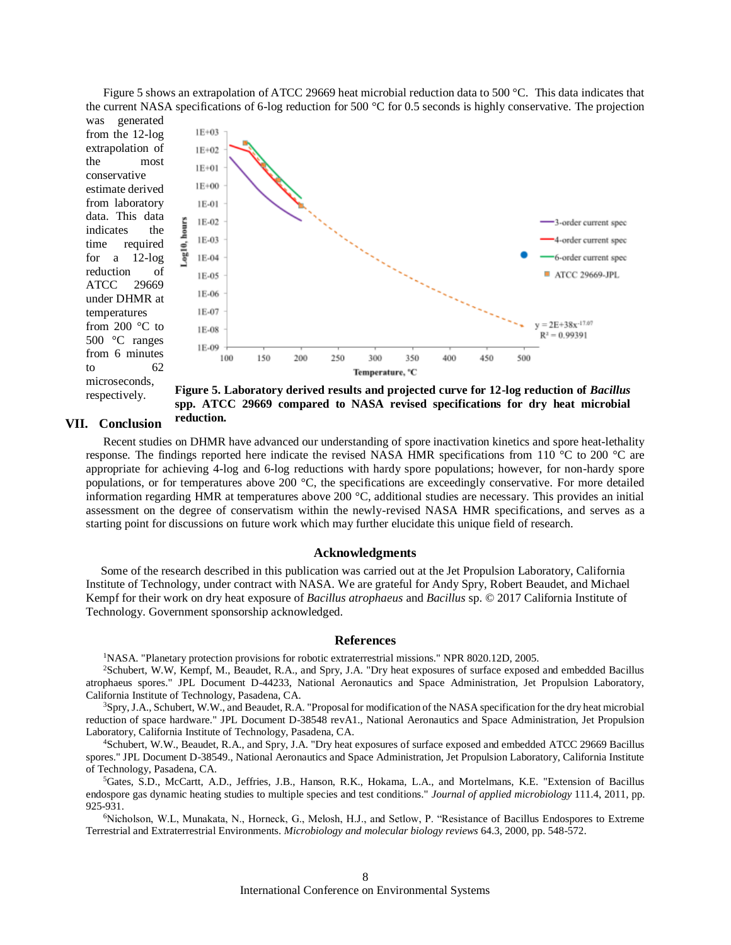Figure 5 shows an extrapolation of ATCC 29669 heat microbial reduction data to 500 °C. This data indicates that the current NASA specifications of 6-log reduction for 500 °C for 0.5 seconds is highly conservative. The projection was generated

from the 12-log extrapolation of the most conservative estimate derived from laboratory data. This data indicates the time required for a 12-log reduction of ATCC 29669 under DHMR at temperatures from 200 °C to 500 °C ranges from 6 minutes to 62 microseconds,



respectively.

**Figure 5. Laboratory derived results and projected curve for 12-log reduction of** *Bacillus* **spp. ATCC 29669 compared to NASA revised specifications for dry heat microbial reduction.**

## **VII. Conclusion**

Recent studies on DHMR have advanced our understanding of spore inactivation kinetics and spore heat-lethality response. The findings reported here indicate the revised NASA HMR specifications from 110 °C to 200 °C are appropriate for achieving 4-log and 6-log reductions with hardy spore populations; however, for non-hardy spore populations, or for temperatures above 200 °C, the specifications are exceedingly conservative*.* For more detailed information regarding HMR at temperatures above 200 °C, additional studies are necessary. This provides an initial assessment on the degree of conservatism within the newly-revised NASA HMR specifications, and serves as a starting point for discussions on future work which may further elucidate this unique field of research.

#### **Acknowledgments**

 Some of the research described in this publication was carried out at the Jet Propulsion Laboratory, California Institute of Technology, under contract with NASA. We are grateful for Andy Spry, Robert Beaudet, and Michael Kempf for their work on dry heat exposure of *Bacillus atrophaeus* and *Bacillus* sp. © 2017 California Institute of Technology. Government sponsorship acknowledged.

#### **References**

<sup>1</sup>NASA. "Planetary protection provisions for robotic extraterrestrial missions." NPR 8020.12D, 2005.

<sup>2</sup>Schubert, W.W, Kempf, M., Beaudet, R.A., and Spry, J.A. "Dry heat exposures of surface exposed and embedded Bacillus atrophaeus spores." JPL Document D-44233, National Aeronautics and Space Administration, Jet Propulsion Laboratory, California Institute of Technology, Pasadena, CA.

<sup>3</sup>Spry, J.A., Schubert, W.W., and Beaudet, R.A. "Proposal for modification of the NASA specification for the dry heat microbial reduction of space hardware." JPL Document D-38548 revA1., National Aeronautics and Space Administration, Jet Propulsion Laboratory, California Institute of Technology, Pasadena, CA.

<sup>4</sup>Schubert, W.W., Beaudet, R.A., and Spry, J.A. "Dry heat exposures of surface exposed and embedded ATCC 29669 Bacillus spores." JPL Document D-38549., National Aeronautics and Space Administration, Jet Propulsion Laboratory, California Institute of Technology, Pasadena, CA.

<sup>5</sup>Gates, S.D., McCartt, A.D., Jeffries, J.B., Hanson, R.K., Hokama, L.A., and Mortelmans, K.E. "Extension of Bacillus endospore gas dynamic heating studies to multiple species and test conditions." *Journal of applied microbiology* 111.4, 2011, pp. 925-931.

<sup>6</sup>Nicholson, W.L, Munakata, N., Horneck, G., Melosh, H.J., and Setlow, P. "Resistance of Bacillus Endospores to Extreme Terrestrial and Extraterrestrial Environments. *Microbiology and molecular biology reviews* 64.3, 2000, pp. 548-572.